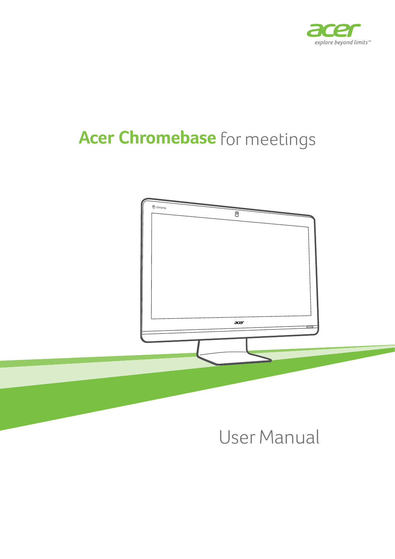

# **Acer Chromebase** for meetings



# User Manual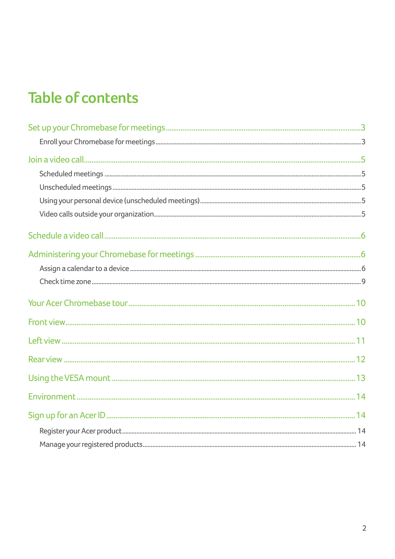### **Table of contents**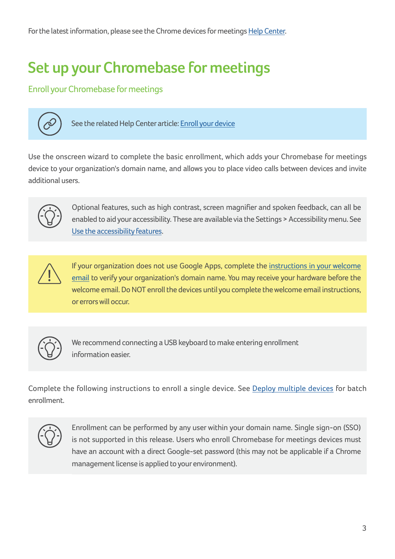# <span id="page-2-0"></span>**Set up your Chromebase for meetings**

### Enroll your Chromebase for meetings



See the related Help Center article: [Enroll your device](https://support.google.com/chromeboxformeetings/answer/6109380?hl=en&ref_topic=4484925&rd=1)

Use the onscreen wizard to complete the basic enrollment, which adds your Chromebase for meetings device to your organization's domain name, and allows you to place video calls between devices and invite additional users.



Optional features, such as high contrast, screen magnifier and spoken feedback, can all be enabled to aid your accessibility. These are available via the Settings > Accessibility menu. See [Use the accessibility features.](https://support.google.com/chromeboxformeetings/answer/6039453?hl=en)



If your organization does not use Google Apps, complete the [instructions in your welcome](https://support.google.com/chromeboxformeetings/answer/6094478)  [email](https://support.google.com/chromeboxformeetings/answer/6094478) to verify your organization's domain name. You may receive your hardware before the welcome email. Do NOT enroll the devices until you complete the welcome email instructions, or errors will occur.



We recommend connecting a USB keyboard to make entering enrollment information easier.

Complete the following instructions to enroll a single device. See [Deploy multiple devices](https://support.google.com/chromeboxformeetings/#topic=4633623) for batch enrollment.



Enrollment can be performed by any user within your domain name. Single sign-on (SSO) is not supported in this release. Users who enroll Chromebase for meetings devices must have an account with a direct Google-set password (this may not be applicable if a Chrome management license is applied to your environment).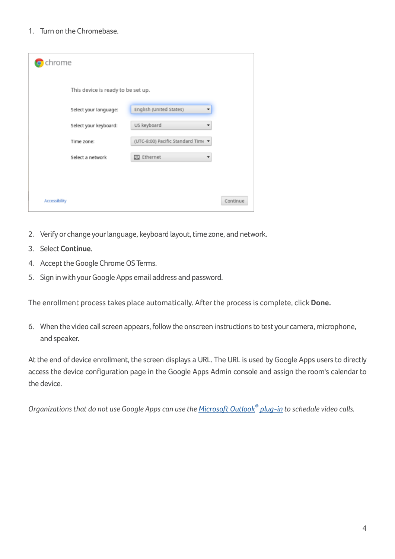1. Turn on the Chromebase.

| chrome                             |                                    |          |
|------------------------------------|------------------------------------|----------|
| This device is ready to be set up. |                                    |          |
| Select your language:              | English (United States)            |          |
| Select your keyboard:              | US keyboard                        |          |
| Time zone:                         | (UTC-8:00) Pacific Standard Time ▼ |          |
| Select a network                   | 巴 Ethernet                         |          |
|                                    |                                    |          |
| Accessibility                      |                                    | Continue |

- 2. Verify or change your language, keyboard layout, time zone, and network.
- 3. Select **Continue**.
- 4. Accept the Google Chrome OS Terms.
- 5. Sign in with your Google Apps email address and password.

The enrollment process takes place automatically. After the process is complete, click **Done.**

6. When the video call screen appears, follow the onscreen instructions to test your camera, microphone, and speaker.

At the end of device enrollment, the screen displays a URL. The URL is used by Google Apps users to directly access the device configuration page in the Google Apps Admin console and assign the room's calendar to the device.

*Organizations that do not use Google Apps can use the [Microsoft Outlook®](https://support.google.com/a/answer/4564466) plug-in to schedule video calls.*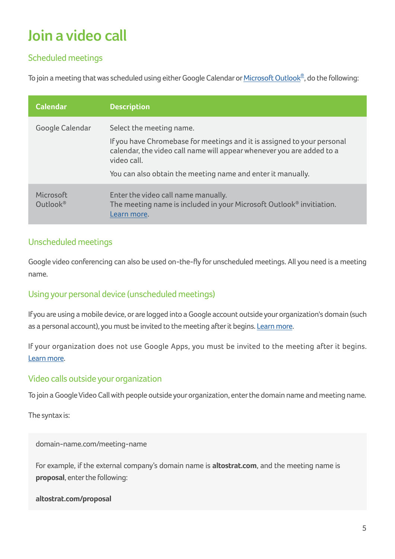# <span id="page-4-0"></span>**Join a video call**

### Scheduled meetings

To join a meeting that was scheduled using either Google Calendar or <u>Microsoft Outlook®,</u> do the following:

| <b>Calendar</b>       | <b>Description</b>                                                                                                                                                                                                                                         |
|-----------------------|------------------------------------------------------------------------------------------------------------------------------------------------------------------------------------------------------------------------------------------------------------|
| Google Calendar       | Select the meeting name.<br>If you have Chromebase for meetings and it is assigned to your personal<br>calendar, the video call name will appear whenever you are added to a<br>video call.<br>You can also obtain the meeting name and enter it manually. |
| Microsoft<br>Outlook® | Enter the video call name manually.<br>The meeting name is included in your Microsoft Outlook <sup>®</sup> invitiation.<br>Learn more.                                                                                                                     |

### Unscheduled meetings

Google video conferencing can also be used on-the-fly for unscheduled meetings. All you need is a meeting name.

### Using your personal device (unscheduled meetings)

If you are using a mobile device, or are logged into a Google account outside your organization's domain (such as a personal account), you must be invited to the meeting after it begins. [Learn more.](https://support.google.com/a/answer/6097610)

If your organization does not use Google Apps, you must be invited to the meeting after it begins. [Learn more](https://support.google.com/a/answer/6097610#guests).

#### Video calls outside your organization

To join a Google Video Call with people outside your organization, enter the domain name and meeting name.

The syntax is:

domain-name.com/meeting-name

For example, if the external company's domain name is **altostrat.com**, and the meeting name is **proposal**, enter the following:

**altostrat.com/proposal**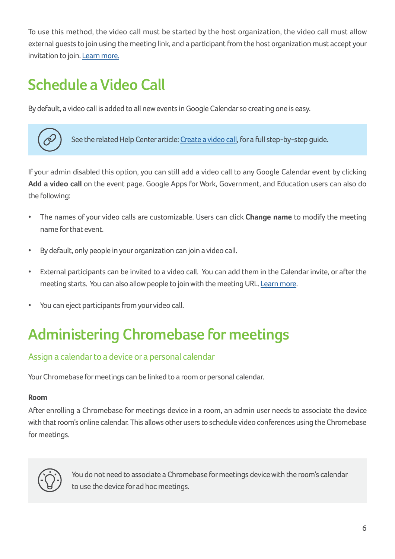<span id="page-5-0"></span>To use this method, the video call must be started by the host organization, the video call must allow external guests to join using the meeting link, and a participant from the host organization must accept your invitation to join. [Learn more.](https://support.google.com/a/answer/6097610#guests)

### **Schedule a Video Call**

By default, a video call is added to all new events in Google Calendar so creating one is easy.



See the related Help Center article: [Create a video call](https://support.google.com/chromeboxformeetings/answer/3344687?hl=en&ref_topic=3341432), for a full step-by-step guide.

If your admin disabled this option, you can still add a video call to any Google Calendar event by clicking **Add a video call** on the event page. Google Apps for Work, Government, and Education users can also do the following:

- The names of your video calls are customizable. Users can click **Change name** to modify the meeting name for that event.
- By default, only people in your organization can join a video call.
- External participants can be invited to a video call. You can add them in the Calendar invite, or after the meeting starts. You can also allow people to join with the meeting URL. [Learn more.](https://support.google.com/a/answer/6097610)
- You can eject participants from your video call.

### **Administering Chromebase for meetings**

#### Assign a calendar to a device or a personal calendar

Your Chromebase for meetings can be linked to a room or personal calendar.

#### **Room**

After enrolling a Chromebase for meetings device in a room, an admin user needs to associate the device with that room's online calendar. This allows other users to schedule video conferences using the Chromebase for meetings.



You do not need to associate a Chromebase for meetings device with the room's calendar to use the device for ad hoc meetings.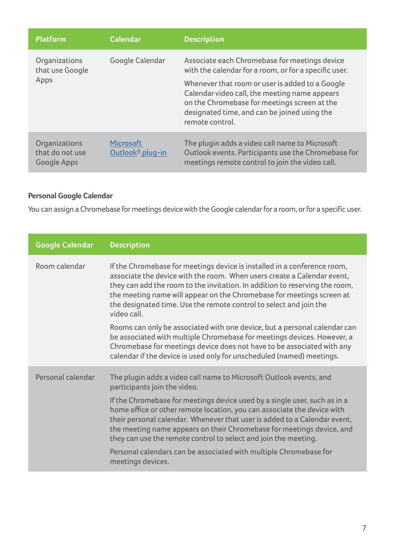| <b>Platform</b>                                 | <b>Calendar</b>                                  | <b>Description</b>                                                                                                                                                                                                                                                                                                            |
|-------------------------------------------------|--------------------------------------------------|-------------------------------------------------------------------------------------------------------------------------------------------------------------------------------------------------------------------------------------------------------------------------------------------------------------------------------|
| Organizations<br>that use Google<br>Apps        | Google Calendar                                  | Associate each Chromebase for meetings device<br>with the calendar for a room, or for a specific user.<br>Whenever that room or user is added to a Google<br>Calendar video call, the meeting name appears<br>on the Chromebase for meetings screen at the<br>designated time, and can be joined using the<br>remote control. |
| Organizations<br>that do not use<br>Google Apps | <b>Microsoft</b><br>Outlook <sup>®</sup> plug-in | The plugin adds a video call name to Microsoft<br>Outlook events. Participants use the Chromebase for<br>meetings remote control to join the video call.                                                                                                                                                                      |

### **Personal Google Calendar**

You can assign a Chromebase for meetings device with the Google calendar for a room, or for a specific user.

| <b>Google Calendar</b> | <b>Description</b>                                                                                                                                                                                                                                                                                                                                                                               |
|------------------------|--------------------------------------------------------------------------------------------------------------------------------------------------------------------------------------------------------------------------------------------------------------------------------------------------------------------------------------------------------------------------------------------------|
| Room calendar          | If the Chromebase for meetings device is installed in a conference room,<br>associate the device with the room. When users create a Calendar event,<br>they can add the room to the invitation. In addition to reserving the room,<br>the meeting name will appear on the Chromebase for meetings screen at<br>the designated time. Use the remote control to select and join the<br>video call. |
|                        | Rooms can only be associated with one device, but a personal calendar can<br>be associated with multiple Chromebase for meetings devices. However, a<br>Chromebase for meetings device does not have to be associated with any<br>calendar if the device is used only for unscheduled (named) meetings.                                                                                          |
| Personal calendar      | The plugin adds a video call name to Microsoft Outlook events, and<br>participants join the video.<br>If the Chromebase for meetings device used by a single user, such as in a<br>home office or other remote location, you can associate the device with<br>their personal calendar. Whenever that user is added to a Calendar event,                                                          |
|                        | the meeting name appears on their Chromebase for meetings device, and<br>they can use the remote control to select and join the meeting.                                                                                                                                                                                                                                                         |
|                        | Personal calendars can be associated with multiple Chromebase for<br>meetings devices.                                                                                                                                                                                                                                                                                                           |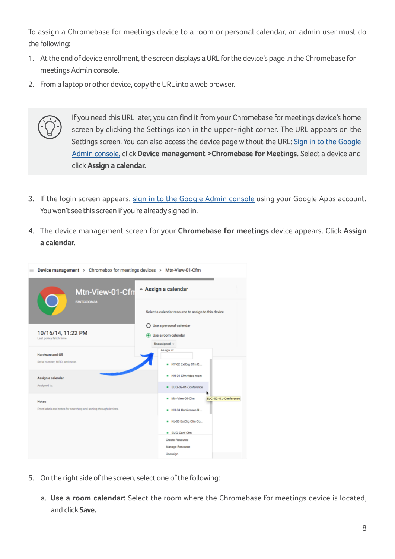To assign a Chromebase for meetings device to a room or personal calendar, an admin user must do the following:

- 1. At the end of device enrollment, the screen displays a URL for the device's page in the Chromebase for meetings Admin console.
- 2. From a laptop or other device, copy the URL into a web browser.



If you need this URL later, you can find it from your Chromebase for meetings device's home screen by clicking the Settings icon in the upper-right corner. The URL appears on the Settings screen. You can also access the device page without the URL: [Sign in to the Google](https://support.google.com/a/answer/182076)  [Admin console,](https://support.google.com/a/answer/182076) click **Device management >Chromebase for Meetings.** Select a device and click **Assign a calendar.**

- 3. If the login screen appears, [sign in to the Google Admin console](https://support.google.com/a/answer/182076) using your Google Apps account. You won't see this screen if you're already signed in.
- 4. The device management screen for your **Chromebase for meetings** device appears. Click **Assign a calendar.**



- 5. On the right side of the screen, select one of the following:
	- a. **Use a room calendar:** Select the room where the Chromebase for meetings device is located, and click **Save.**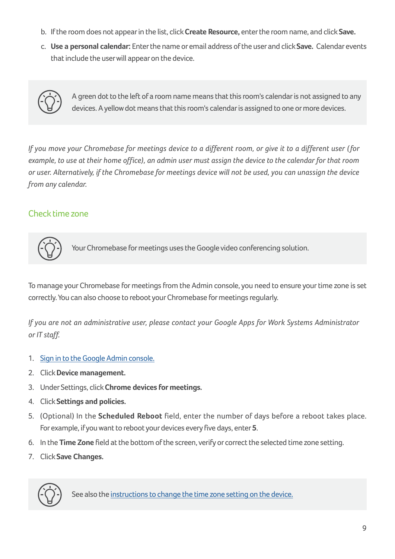- <span id="page-8-0"></span>b. If the room does not appear in the list, click **Create Resource,** enter the room name, and click **Save.**
- c. **Use a personal calendar:** Enter the name or email address of the user and click **Save.** Calendar events that include the user will appear on the device.



A green dot to the left of a room name means that this room's calendar is not assigned to any devices. A yellow dot means that this room's calendar is assigned to one or more devices.

*If you move your Chromebase for meetings device to a different room, or give it to a different user ( for example, to use at their home office), an admin user must assign the device to the calendar for that room or user. Alternatively, if the Chromebase for meetings device will not be used, you can unassign the device from any calendar.*

#### Check time zone



Your Chromebase for meetings uses the Google video conferencing solution.

To manage your Chromebase for meetings from the Admin console, you need to ensure your time zone is set correctly. You can also choose to reboot your Chromebase for meetings regularly.

*If you are not an administrative user, please contact your Google Apps for Work Systems Administrator or IT staff.*

- 1. [Sign in to the Google Admin console.](https://support.google.com/a/answer/182076)
- 2. Click **Device management.**
- 3. Under Settings, click **Chrome devices for meetings.**
- 4. Click **Settings and policies.**
- 5. (Optional) In the **Scheduled Reboot** field, enter the number of days before a reboot takes place. For example, if you want to reboot your devices every five days, enter **5**.
- 6. In the **Time Zone** field at the bottom of the screen, verify or correct the selected time zone setting.
- 7. Click **Save Changes.**



See also the [instructions to change the time zone setting on the device.](https://support.google.com/chromeboxformeetings/answer/6063095)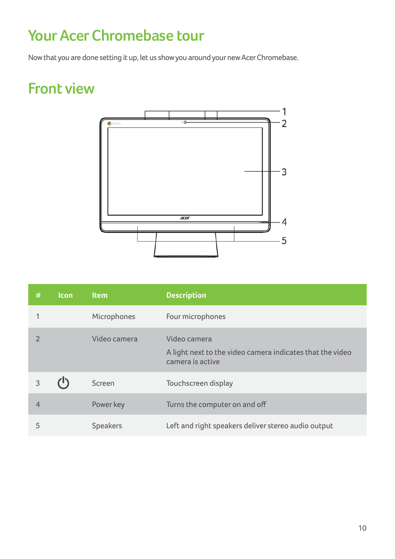### <span id="page-9-0"></span>**Your Acer Chromebase tour**

Now that you are done setting it up, let us show you around your new Acer Chromebase.

### **Front view**



| #              | <b>Icon</b> | <b>Item</b>     | <b>Description</b>                                                                            |
|----------------|-------------|-----------------|-----------------------------------------------------------------------------------------------|
|                |             | Microphones     | Four microphones                                                                              |
|                |             | Video camera    | Video camera<br>A light next to the video camera indicates that the video<br>camera is active |
| 3              |             | Screen          | Touchscreen display                                                                           |
| $\overline{4}$ |             | Power key       | Turns the computer on and off                                                                 |
| 5              |             | <b>Speakers</b> | Left and right speakers deliver stereo audio output                                           |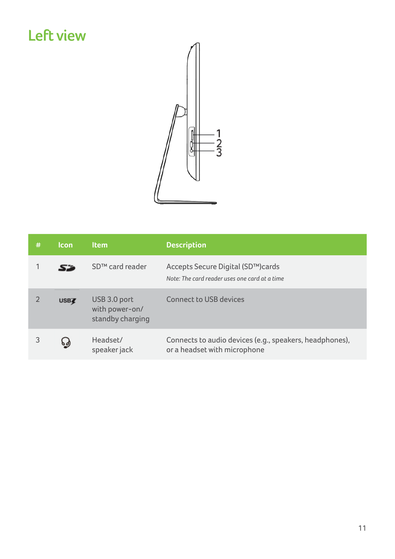### <span id="page-10-0"></span>**Left view**



| # | <b>Icon</b> | <b>Item</b>                                        | <b>Description</b>                                                                      |
|---|-------------|----------------------------------------------------|-----------------------------------------------------------------------------------------|
|   | 52          | SD <sup>™</sup> card reader                        | Accepts Secure Digital (SD™)cards<br>Note: The card reader uses one card at a time      |
|   | <b>USBZ</b> | USB 3.0 port<br>with power-on/<br>standby charging | <b>Connect to USB devices</b>                                                           |
| 3 | १∮          | Headset/<br>speaker jack                           | Connects to audio devices (e.g., speakers, headphones),<br>or a headset with microphone |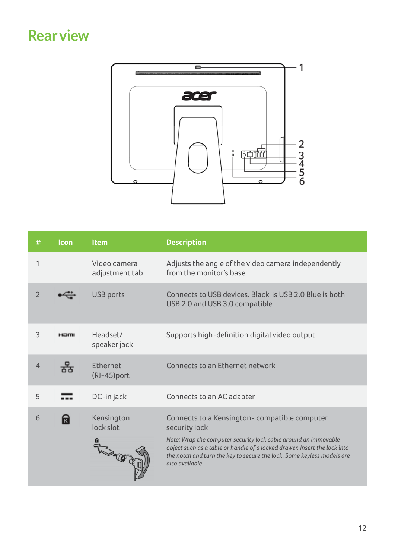### <span id="page-11-0"></span>**Rear view**



| #              | <b>Icon</b> | <b>Item</b>                       | <b>Description</b>                                                                                                                                                                                                                                                                                        |
|----------------|-------------|-----------------------------------|-----------------------------------------------------------------------------------------------------------------------------------------------------------------------------------------------------------------------------------------------------------------------------------------------------------|
|                |             | Video camera<br>adjustment tab    | Adjusts the angle of the video camera independently<br>from the monitor's base                                                                                                                                                                                                                            |
| $\overline{2}$ |             | <b>USB ports</b>                  | Connects to USB devices. Black is USB 2.0 Blue is both<br>USB 2.0 and USB 3.0 compatible                                                                                                                                                                                                                  |
| 3              | HOMI        | Headset/<br>speaker jack          | Supports high-definition digital video output                                                                                                                                                                                                                                                             |
| $\overline{4}$ | 果           | Ethernet<br>(RJ-45)port           | Connects to an Ethernet network                                                                                                                                                                                                                                                                           |
| 5              |             | DC-in jack                        | Connects to an AC adapter                                                                                                                                                                                                                                                                                 |
| 6              | ╦           | Kensington<br>lock slot<br>FROM O | Connects to a Kensington-compatible computer<br>security lock<br>Note: Wrap the computer security lock cable around an immovable<br>object such as a table or handle of a locked drawer. Insert the lock into<br>the notch and turn the key to secure the lock. Some keyless models are<br>also available |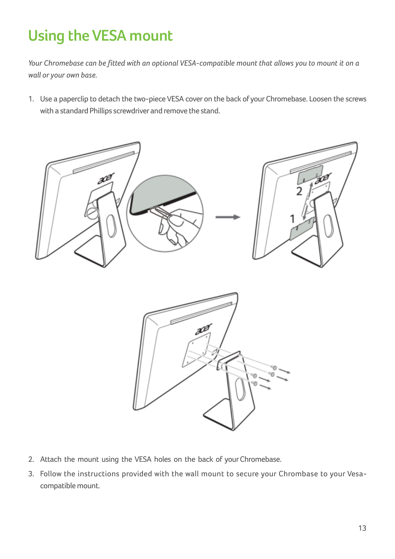# <span id="page-12-0"></span>**Using the VESA mount**

*Your Chromebase can be fitted with an optional VESA-compatible mount that allows you to mount it on a wall or your own base.*

1. Use a paperclip to detach the two-piece VESA cover on the back of your Chromebase. Loosen the screws with a standard Phillips screwdriver and remove the stand.





- 2. Attach the mount using the VESA holes on the back of your Chromebase.
- 3. Follow the instructions provided with the wall mount to secure your Chrombase to your Vesacompatible mount.